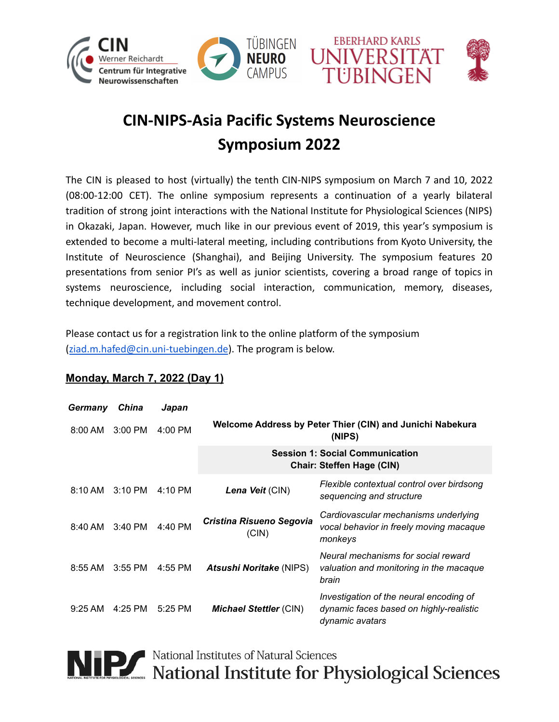







## **CIN-NIPS-Asia Pacific Systems Neuroscience Symposium 2022**

The CIN is pleased to host (virtually) the tenth CIN-NIPS symposium on March 7 and 10, 2022 (08:00-12:00 CET). The online symposium represents a continuation of a yearly bilateral tradition of strong joint interactions with the National Institute for Physiological Sciences (NIPS) in Okazaki, Japan. However, much like in our previous event of 2019, this year's symposium is extended to become a multi-lateral meeting, including contributions from Kyoto University, the Institute of Neuroscience (Shanghai), and Beijing University. The symposium features 20 presentations from senior PI's as well as junior scientists, covering a broad range of topics in systems neuroscience, including social interaction, communication, memory, diseases, technique development, and movement control.

Please contact us for a registration link to the online platform of the symposium ([ziad.m.hafed@cin.uni-tuebingen.de](mailto:ziad.m.hafed@cin.uni-tuebingen.de)). The program is below.

| Germany           | China     | Japan             |                                                                            |                                                                                                       |
|-------------------|-----------|-------------------|----------------------------------------------------------------------------|-------------------------------------------------------------------------------------------------------|
| $8:00 \text{ AM}$ | $3:00$ PM | $4:00$ PM         | Welcome Address by Peter Thier (CIN) and Junichi Nabekura<br>(NIPS)        |                                                                                                       |
|                   |           |                   | <b>Session 1: Social Communication</b><br><b>Chair: Steffen Hage (CIN)</b> |                                                                                                       |
| $8:10 \text{ AM}$ | $3:10$ PM | $4:10 \text{ PM}$ | Lena Veit (CIN)                                                            | Flexible contextual control over birdsong<br>sequencing and structure                                 |
| 8:40 AM           | $3:40$ PM | 4:40 PM           | Cristina Risueno Segovia<br>(CIN)                                          | Cardiovascular mechanisms underlying<br>vocal behavior in freely moving macaque<br>monkeys            |
| $8:55$ AM         | $3:55$ PM | 4:55 PM           | <b>Atsushi Noritake (NIPS)</b>                                             | Neural mechanisms for social reward<br>valuation and monitoring in the macaque<br>brain               |
| $9:25 \text{ AM}$ | 4:25 PM   | 5:25 PM           | <b>Michael Stettler (CIN)</b>                                              | Investigation of the neural encoding of<br>dynamic faces based on highly-realistic<br>dynamic avatars |

## **Monday, March 7, 2022 (Day 1)**

NIP National Institutes of Natural Sciences<br>National Institute for Physiological Sciences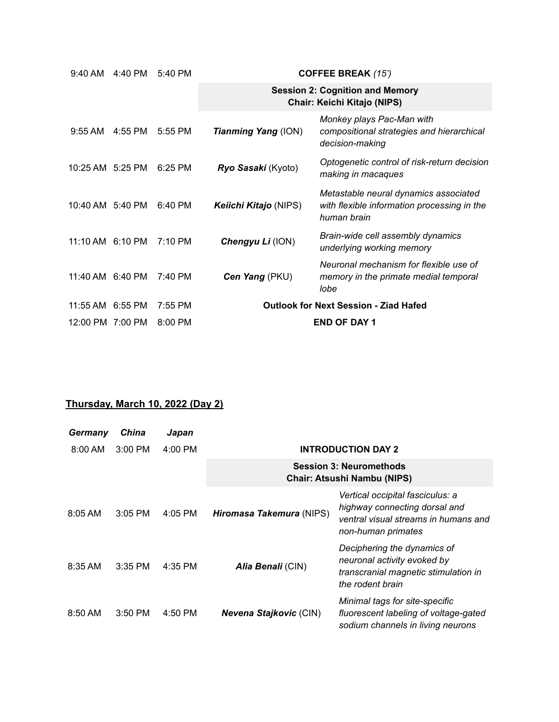| 4:40 PM<br>9:40 AM |         | 5:40 PM           | <b>COFFEE BREAK (15')</b>                    |                                                                                                     |  |
|--------------------|---------|-------------------|----------------------------------------------|-----------------------------------------------------------------------------------------------------|--|
|                    |         |                   |                                              | <b>Session 2: Cognition and Memory</b><br>Chair: Keichi Kitajo (NIPS)                               |  |
| $9:55$ AM          | 4:55 PM | 5:55 PM           | <b>Tianming Yang (ION)</b>                   | Monkey plays Pac-Man with<br>compositional strategies and hierarchical<br>decision-making           |  |
| 10:25 AM 5:25 PM   |         | $6:25$ PM         | Ryo Sasaki (Kyoto)                           | Optogenetic control of risk-return decision<br>making in macaques                                   |  |
| 10:40 AM 5:40 PM   |         | 6:40 PM           | Keiichi Kitajo (NIPS)                        | Metastable neural dynamics associated<br>with flexible information processing in the<br>human brain |  |
| 11:10 AM 6:10 PM   |         | $7:10 \text{ PM}$ | Chengyu Li (ION)                             | Brain-wide cell assembly dynamics<br>underlying working memory                                      |  |
| 11:40 AM 6:40 PM   |         | 7:40 PM           | Cen Yang (PKU)                               | Neuronal mechanism for flexible use of<br>memory in the primate medial temporal<br>lobe             |  |
| 11:55 AM 6:55 PM   |         | 7:55 PM           | <b>Outlook for Next Session - Ziad Hafed</b> |                                                                                                     |  |
| 12:00 PM 7:00 PM   |         | 8:00 PM           |                                              | <b>END OF DAY 1</b>                                                                                 |  |

## **Thursday, March 10, 2022 (Day 2)**

| Germany           | China     | Japan     |                                                                      |                                                                                                                                 |
|-------------------|-----------|-----------|----------------------------------------------------------------------|---------------------------------------------------------------------------------------------------------------------------------|
| $8:00$ AM         | $3:00$ PM | $4:00$ PM | <b>INTRODUCTION DAY 2</b>                                            |                                                                                                                                 |
|                   |           |           | <b>Session 3: Neuromethods</b><br><b>Chair: Atsushi Nambu (NIPS)</b> |                                                                                                                                 |
| $8:05$ AM         | $3:05$ PM | 4:05 PM   | Hiromasa Takemura (NIPS)                                             | Vertical occipital fasciculus: a<br>highway connecting dorsal and<br>ventral visual streams in humans and<br>non-human primates |
| $8:35 \text{ AM}$ | $3:35$ PM | 4:35 PM   | Alia Benali (CIN)                                                    | Deciphering the dynamics of<br>neuronal activity evoked by<br>transcranial magnetic stimulation in<br>the rodent brain          |
| 8:50 AM           | $3:50$ PM | 4:50 PM   | <b>Nevena Stajkovic (CIN)</b>                                        | Minimal tags for site-specific<br>fluorescent labeling of voltage-gated<br>sodium channels in living neurons                    |